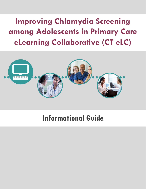# **Improving Chlamydia Screening among Adolescents in Primary Care eLearning Collaborative (CT eLC)**



## **Informational Guide**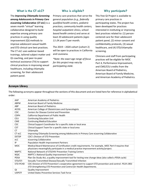## **What is the CT eLC? Who is eligible? Why participate?**

The *Improving Chlamydia Screening among Adolescents in Primary Care*  **eLearning Collaborative** (**CT eLC**) is a seven month "virtual" learning collaborative designed to build expertise among primary care practices in using quality improvement (QI) methods to improve adolescent sexual health and STD clinical care best practices. The CT eLC uses webinar-based trainings, tailored subject matter and QI coaching, and peer-to-peer technical assistance (TA) to support clinical practices in improving sexual healthcare, including chlamydia screening, for their adolescent patient panel.

Primary care practices that serve the general population *(e.g., federally qualified health centers, pediatric practices, community health centers, hospital outpatient clinics, schoolbased health centers)* and serve at least 20 adolescent patients *(ages 11-24 years\*)* per month*.*

The 2019 – 2020 cohort (cohort 2) will be open to practices in California and Louisiana.

*\*Note: the exact age range of focus for this project may vary by participating state.*

This free QI Project is available to primary care practices in participating states. The project has been developed for practices interested in instituting or improving best practices related to: (1) personcentered care for their adolescent patient panel, (2) minor consent and confidentiality protocols, (3) sexual healthcare, and (4) STD/chlamydia screening.

Clinicians and staff from participating practices will be eligible for MOC Part 4, Performance Improvement, and CME/CEU credits from the American Board of Pediatrics, American Board of Family Medicine, and American Academy of Pediatrics.

#### **Acronym Library**

The following acronyms appear throughout the sections of this document and are listed here for reference in alphabetical order:

| AAP               | American Academy of Pediatrics                                                                          |
|-------------------|---------------------------------------------------------------------------------------------------------|
| <b>ABFM</b>       | American Board of Family Medicine                                                                       |
| ABP               | <b>American Board of Pediatrics</b>                                                                     |
| <b>ACOG</b>       | American College of Obstetricians and Gynecologists                                                     |
| <b>CDC</b>        | <b>Centers for Disease Control and Prevention</b>                                                       |
| <b>CDPH</b>       | California Department of Public Health                                                                  |
| <b>CEU</b>        | <b>Continuing Education Unit</b>                                                                        |
| <b>CME</b>        | <b>Continuing Medical Education</b>                                                                     |
| <b>CSC</b>        | Clinical Support Coordinator for a specific state or local area                                         |
| <b>CST</b>        | Clinical Support Team for a specific state or local area                                                |
| CT.               | Chlamydia                                                                                               |
| CT <sub>eLC</sub> | Improving Chlamydia Screening among Adolescents in Primary Care eLearning Collaborative                 |
| <b>DSTDP</b>      | CDC's Division of STD Prevention                                                                        |
| eLC               | eLearning Collaborative                                                                                 |
| IP                | Population Health Improvement Partners                                                                  |
| <b>MOC</b>        | Medical Board Maintenance of Certification credit requirements. For example, MOC Part 4 requires that   |
|                   | physicians meaningfully participate in a medical practice improvement activity/project.                 |
| <b>NNPTC</b>      | National Network of STD/HIV Prevention Training Centers                                                 |
| <b>NQIC</b>       | NNPTC's National Quality Improvement Center                                                             |
| <b>PDSA</b>       | Plan-Do-Study-Act, a quality improvement tool for testing new change ideas (also called a PDSA cycle)   |
| STD/STI           | Sexually Transmitted Disease/Sexually Transmitted Infection                                             |
| STD-PCHD          | CDC Division of STD Prevention's cooperative agreement to support STD prevention and control: PS19-1901 |
|                   | STD Strengthening STD Prevention and Control for Health Departments.                                    |
| QI                | <b>Quality Improvement</b>                                                                              |
| <b>USPSTF</b>     | United States Preventive Services Task Force                                                            |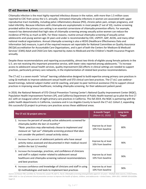#### **CT eLC Overview & Goals**

Chlamydia infection is the most highly reported infectious disease in the nation, with more than 1.5 million cases reported to CDC from across the U.S. annually. Untreated chlamydia infections in women are associated with upper reproductive tract morbidity, including pelvic inflammatory disease (PID), chronic pelvic pain, ectopic pregnancy, and tubal infertility. Because infections with chlamydia are asymptomatic in most people (7 out of 10), routine screening provided within the primary care setting is an essential cornerstone of chlamydia prevention efforts. For example, research has demonstrated that high rates of chlamydia screening among sexually active women can reduce the incidence of PID by as much as 60%. For these reasons, routine annual chlamydia screening of sexually active adolescents and young women age 24 years and under is recommended by CDC, USPSTF, AAP, ACOG, and many other national medical organizations. Annual chlamydia screening is also a HEDIS (Healthcare Effectiveness Data and Information Set) measure, is part of the required measure set reportable for National Committee on Quality Assurance (NCQA) accreditation for Accountable Care Organizations, and is part of both the Centers for Medicare & Medicaid Services' (CMS) Adult and Child Core Sets reported by states to Medicaid and the Children's Health Insurance Program annually.

Despite these recommendations and reporting accountability, almost two thirds of eligible young female patients in the U.S. are not receiving this important preventive service, with lower rates reported among adolescents.<sup>1</sup> To increase access to adolescent sexual health services, quality improvement (QI) efforts in clinical settings are needed to support practices, particularly primary care networks, in the implementation of related best practice recommendations.

The CT eLC is a seven month "virtual" learning collaborative designed to build expertise among primary care practices in using QI methods to improve adolescent sexual health and STD clinical care best practices. The CT eLC uses webinarbased trainings, tailored subject matter and QI coaching, and peer-to-peer technical assistance (TA) to support clinical practices in improving sexual healthcare, including chlamydia screening, for their adolescent patient panel.

In 2018, the National Network of STD Clinical Prevention Training Center's National Quality Improvement Center (NQIC), Population Health Improvement Partners (IP), and California Department of Public Health teamed up to pilot the first CT eLC with an inaugural cohort of eight primary care practices in California. This fall 2019, the NQIC is partnering with the public health departments in California, Louisiana and in Los Angeles County to launch the CT eLC *Cohort 2*, expanding this successful QI project to primary care practices across these additional areas.

| The CT eLC QI project aims to:                                                                                                                                                                                                                                                                   | <b>6-month Target</b><br>(March 31, 2020) | Long-term<br><b>Target</b> |
|--------------------------------------------------------------------------------------------------------------------------------------------------------------------------------------------------------------------------------------------------------------------------------------------------|-------------------------------------------|----------------------------|
| 1. Increase the percent of sexually active adolescents screened for<br>chlamydia (within the last 12 months)*<br>*Note: practices may alternatively choose to implement and<br>measure an "opt-out" chlamydia screening protocol that does<br>not consider the patient's sexual activity status. | Improve by at least<br>10% from baseline  | 80%                        |
| 2. Increase the percent of adolescent patients who have sexual<br>activity status assessed and documented in their medical record<br>(within the last 12 months)                                                                                                                                 | Improve by at least<br>10% from baseline  | 90%                        |
| 3. Increase the knowledge, practices, and confidence of clinicians<br>and staff in subject matter related to adolescent sexual<br>healthcare and chlamydia screening national recommendations<br>and best practices                                                                              | Improve by at least<br>10% from baseline  | 90%                        |
| 4. Increase confidence and knowledge of clinicians and staff in using<br>QI methodologies and tools to implement best practices                                                                                                                                                                  | Improve by at least<br>10% from baseline  | 90%                        |

*Source: (1) Hoover KW, Leichliter JS, Torrone EA, Loosier PS, Gift TL, Tao G. Chlamydia screening among females aged 15–21 years—Multiple data sources, United States, 1999–2010. In: Use of selected clinical preventive services to improve the health of infants, children, and adolescents—United States, 1999–2011. MMWR 2014;63(No. Suppl 2).*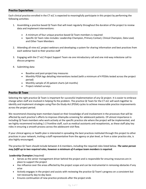#### **Practice Expectations**

Each clinical practice enrolled in the CT eLC is expected to meaningfully participate in this project by performing the following activities:

- 1. Assembling a practice based QI Team that will meet regularly throughout the duration of the project to review data and implement interventions:
	- A minimum of four unique practice-based QI Team members is required
	- Specific QI Team roles includes: Leadership Champion, Primary Contact, Clinical Champion, Data Lead, and Other Team Members
- 2. Attending all nine eLC project webinars and developing a system for sharing information and best practices from each webinar back to their practice staff
- 3. Engaging with the CT eLC Project Support Team via one introductory call and one mid-way milestone call to discuss progress
- 4. Submitting data:
	- **•** Baseline and post-project key measures
	- Monthly PDSA logs detailing interventions tested (with a minimum of 4 PDSAs tested across the project period)
	- Monthly sample of 20 patient charts (x4 months)
	- Project-related surveys

#### **Practice QI Team**

Selecting the right practice QI Team is important for successful implementation of any QI project. It is easier to embrace change when staff are involved in helping fix the problem. The practice QI Team for the CT eLC will work together to identify and implement strategies using Plan-Do-Study-Act (PDSA) cycles to achieve measurable practice improvements across the project period.

We recommend choosing team members based on their knowledge of and involvement in the processes that will be affected by each practice's efforts to improve chlamydia screening for adolescent patients. Of utmost importance is including QI Team members who work actively at the specific practice site where the project will be implemented, and we highly recommend including 1-2 frontline staff, such as medical assistants and receptionists, as these staff play key roles in ensuring a smooth process across the adolescent visit flow.

If your clinical agency or health plan is interested in spreading the best practices instituted through this project to other practices in your network, inviting a staff representative from the agency or plan level, or from a sister practice site, is also highly encouraged.

The practice QI Team should include between 4-6 members, including the required roles listed below. *The same person may fulfill up to two required roles, however a minimum of 4 unique team members is required.*

#### **Leadership Champion** *(required)*

- Serves as the senior management driver behind the project and is responsible for ensuring resources are in place to support the project
- Has influence over the areas affected by the project scope and can be instrumental in removing obstacles if any arise
- Actively engages in the project and assists with reviewing the practice QI Team's progress on a consistent but not necessarily day-to-day basis
- Ensures continuation of new practice protocols after the project ends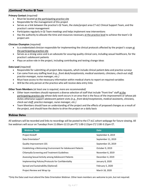## **(Continued) Practice QI Team**

#### **Primary Contact** *(required)*

- Must be located at the participating practice site
- Responsible for the management of this project
- Serves as a link between the practice's QI Team, the state/project area CT eLC Clinical Support Team, and the practice's senior management
- Participates regularly in QI Team meetings and helps implement new interventions
- Has the authority to allocate the time and resources necessary at the practice level to achieve the team's QI project aim

#### **Clinician Champion** *(required)*

- Is a credentialed clinician responsible for implementing the clinical protocols affected by the project's scope at the participating practice site
- Serves as a strong voice and is an advocate for assuring quality clinical care, including sexual healthcare, for the practice's adolescent patients
- Plays an active role in the project, including contributing and testing change ideas

#### **Data Lead** *(required)*

- Responsible for submitting all project data requests, which include clinical patient data and practice surveys
- Can come from any staffing level *(e.g., front desk/receptionists, medical assistants, clinicians, check-out staff, practice manager, nurse manager, etc.)*
- Must have access to the necessary information within medical charts to report on required variables
- Will be the only person at the practice who will receive data entry links

#### **Other Team Members** *(at least one is required, more are recommended)*

- Other team members should represent a diverse selection of staff that include "front-line" staff at the participating practice site whose daily work occurs in an area that is the focus of the improvement or whose job duties otherwise support adolescent patient visits *(e.g., front desk/receptionists, medical assistants, clinicians, check-out staff, practice manager, nurse manager, etc.)*
- Team Members should have an understanding of the project and the effects of proposed changes as a result of the project, and should have the desire to drive the project on a daily basis

#### **Webinar Dates**

All webinars will be recorded and links to recordings will be posted to the CT eLC cohort webpage for future viewing. All live webinars will occur on Tuesdays from 11:00am-12:15 pm PT/ 1:00-2:15pm CT/ 2:00-3:15pm ET.

| <b>Webinar Topic</b>                                         | <b>Date</b>        |
|--------------------------------------------------------------|--------------------|
| <b>Project Kickoff</b>                                       | September 4, 2019  |
| Data Orientation*                                            | September 11, 2019 |
| Quality Improvement 101                                      | September 25, 2019 |
| Establishing a Welcoming Environment for Adolescent Patients | October 9, 2019    |
| Chlamydia Screening and Treatment Guidelines                 | November 6, 2019   |
| Assessing Sexual Activity among Adolescent Patients          | December 4, 2019   |
| Implementing Policies/Protocols for Confidentiality          | January 8, 2020    |
| Spread and Sustainability (Optional)                         | February 5, 2020   |
| Project Review and Wrap Up                                   | March 18, 2020     |

\*Only the Data Lead must attend the Data Orientation Webinar. Other team members are welcome to join, but not required.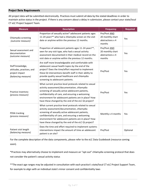#### **Project Data Requirements**

All project data will be submitted electronically. Practices must submit all data by the stated deadlines in order to maintain active status in the project. If there is any concern about a delay in submission, please contact your state/local CT eLC Project Support Team.

| <b>Measure</b>                                                                                                                                                                        | <b>Description</b>                                                                                                                                                                                                                                                                                                                 | <b>Frequency</b>                                               | <b>Required</b> |
|---------------------------------------------------------------------------------------------------------------------------------------------------------------------------------------|------------------------------------------------------------------------------------------------------------------------------------------------------------------------------------------------------------------------------------------------------------------------------------------------------------------------------------|----------------------------------------------------------------|-----------------|
| Chlamydia screening<br>(outcome measure)                                                                                                                                              | Proportion of sexually active* adolescent patients ages<br>11-24 years** who had a chlamydia screen on the visit<br>date or anytime within the previous 12 months.                                                                                                                                                                 | Pre/Post AND<br>20 monthly chart<br>abstractions x 4<br>months | Yes             |
| Sexual assessment and<br>documentation<br>(outcome measure)                                                                                                                           | Proportion of adolescent patients ages 11-24 years**,<br>seen for any visit type, who had a sexual activity<br>assessment documented in their medical record on the<br>visit date or anytime within the previous 12 months.                                                                                                        | Pre/Post AND<br>20 monthly chart<br>abstractions x 4<br>months | Yes             |
| Staff knowledge,<br>attitudes, practices, and<br>project impact<br>(balancing measure)                                                                                                | Are staff more knowledgeable and comfortable with<br>adolescent sexual health topics by the end of the<br>project? Does the time/effort required to implement<br>these QI interventions benefit staff in their ability to<br>provide quality sexual healthcare and chlamydia<br>screening to adolescent patients.                  | Pre/Post                                                       | Yes             |
| Practice inventory<br>(process measure)                                                                                                                                               | What current practice-level protocols related to sexual<br>activity assessment/documentation, chlamydia<br>screening of sexually active adolescent patients,<br>confidentiality of care, and ensuring a welcoming<br>environment for adolescent patients are in place? How<br>have these changed by the end of the eLC QI project? | Pre/Post                                                       | Yes             |
| PDSA tracking<br>(process measure)                                                                                                                                                    | What current practice-level protocols related to sexual<br>activity assessment/documentation, chlamydia<br>screening of sexually active adolescent patients,<br>confidentiality of care, and ensuring a welcoming<br>environment for adolescent patients are in place? How<br>have these changed by the end of the eLC QI project? | Monthly x 4 months                                             | Yes             |
| Does the time and effort required to implement systems<br>Patient visit length<br>interventions impact the amount of time an adolescent<br>(balancing measure)<br>patient is on site? |                                                                                                                                                                                                                                                                                                                                    | Pre/Post                                                       | Optional        |

For the complete description of the data components, please refer to the eLC Data Guidebook (resource coming soon).

\*Practices may alternatively choose to implement and measure an "opt-out" chlamydia screening protocol that does not consider the patient's sexual activity status

\*\*The exact age ranges may be adjusted in consultation with each practice's state/local CT eLC Project Support Team, for example to align with an individual state's minor consent and confidentiality laws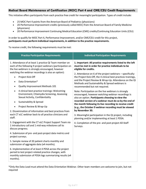#### **Medical Board Maintenance of Certification (MOC) Part 4 and CME/CEU Credit Requirements**

This initiative offers participants from each practice free credit for meaningful participation. Types of credit include:

- 25 MOC Part 4 points from the American Board of Pediatrics (physicians)
- 20 Performance Improvement credits (previously called MOC) from the American Board of Family Medicine (physicians)
- 20 Performance Improvement Continuing Medical Education (CME) credits/Continuing Education Units (CEU)

#### In order to qualify for MOC Part 4, Performance Improvement, and/or CME/CEU credit for this project, **participants must perform individual requirements, in addition to the practice requirements.**

To receive credit, the following requirements must be met:

| <b>Practice Participation Requirements</b>                                                                                                                                              | <b>Individual Participation Requirements</b>                                                                                                                                                                                                                               |  |
|-----------------------------------------------------------------------------------------------------------------------------------------------------------------------------------------|----------------------------------------------------------------------------------------------------------------------------------------------------------------------------------------------------------------------------------------------------------------------------|--|
| 1. Attendance of at least 1 practice QI Team member on<br>each of the following 9 project webinars (participation on<br>the live webinars is strongly encouraged, however               | 1. Important: All practice requirements listed to the left<br>must be met in order for practice individuals to be<br>eligible for credits.                                                                                                                                 |  |
| watching the webinar recordings is also an option):<br>Project Kick-Off<br>$\bullet$                                                                                                    | 2. Attendance on 6 of the project webinars - specifically:<br>the Project Kick-Off, the 4 clinical best practices trainings,<br>and the Project Review & Wrap-Up. Attendance on the QI<br>Methods and Sustainability & Spread webinars is<br>recommended but not required. |  |
| Data Orientation*<br>$\bullet$<br>Quality Improvement Methods 101<br>٠                                                                                                                  |                                                                                                                                                                                                                                                                            |  |
| 4 clinical best practice trainings: Welcoming<br>$\bullet$<br>Environment, Chlamydia Screening, Assessing<br>Sexual Activity, Confidentiality                                           | Note: Participation on the live webinars is strongly<br>encouraged, however watching webinar recordings is<br>also an option. Participants choosing to view the                                                                                                            |  |
| Sustainability & Spread<br>$\bullet$                                                                                                                                                    | recorded version of a webinar must do so by the end of<br>the month following its live recording to receive credit                                                                                                                                                         |  |
| Project Review & Wrap-Up                                                                                                                                                                | (e.g., the October 9 webinar recording must be viewed                                                                                                                                                                                                                      |  |
| 2. Dissemination of information and best practices from<br>each CT eLC webinar back to all practice clinicians and<br>staff.                                                            | by November 30.<br>3. Meaningful participation in the QI project, including<br>planning and/or implementing at least 1 PDSA.                                                                                                                                               |  |
| 3. Engagement with the CT eLC Project Support Team via<br>1 introductory call and 1 mid-way milestone call to<br>discuss progress.                                                      | 4. Completion of the pre- and post-project All-Staff<br>Surveys.                                                                                                                                                                                                           |  |
| 4. Submission of pre- and post-project data metrics and<br>project surveys.                                                                                                             |                                                                                                                                                                                                                                                                            |  |
| 5. Sample review of 20 patient charts monthly and<br>submission of aggregate data (x4 months).                                                                                          |                                                                                                                                                                                                                                                                            |  |
| 6. Implementation of at least 4 PDSA across the project<br>period to test project-related practice changes, with<br>monthly submission of PDSA logs summarizing results (x4<br>months). |                                                                                                                                                                                                                                                                            |  |

\*Only the Data Lead must attend the Data Orientation Webinar. Other team members are welcome to join, but not required